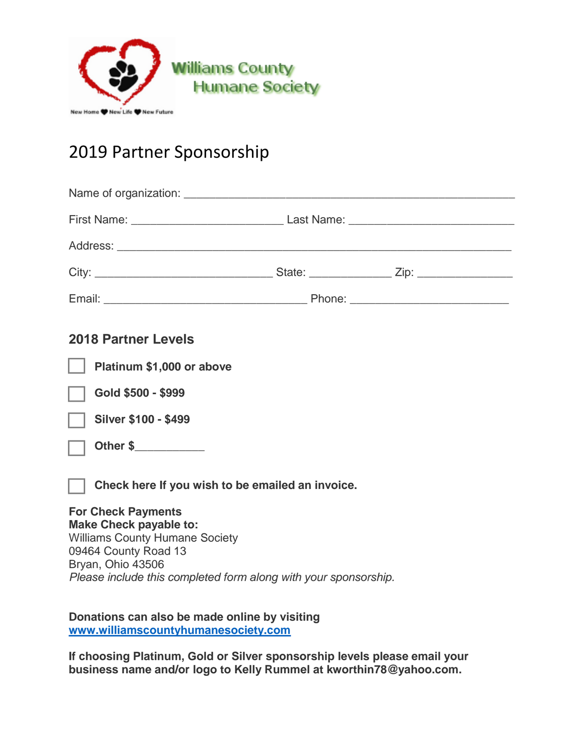

## 2019 Partner Sponsorship

## **2018 Partner Levels**

**Platinum \$1,000 or above**

**Gold \$500 - \$999**



**Other \$\_\_\_\_\_\_\_\_\_\_\_**

**Check here If you wish to be emailed an invoice.** 

## **For Check Payments Make Check payable to:**

Williams County Humane Society 09464 County Road 13 Bryan, Ohio 43506 *Please include this completed form along with your sponsorship.* 

**Donations can also be made online by visiting [www.williamscountyhumanesociety.com](http://www.williamscountyhumanesociety.com/)**

**If choosing Platinum, Gold or Silver sponsorship levels please email your business name and/or logo to Kelly Rummel at kworthin78@yahoo.com.**